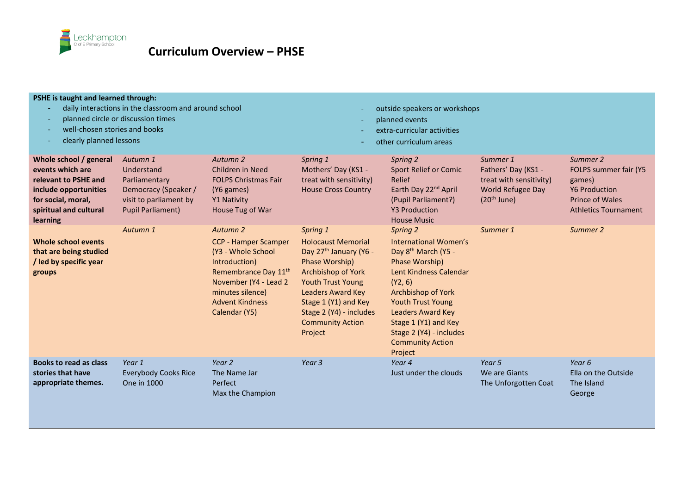

| PSHE is taught and learned through:<br>daily interactions in the classroom and around school<br>planned circle or discussion times<br>well-chosen stories and books<br>clearly planned lessons |                                                                                                                       |                                                                                                                                                                                                                       |                                                                                                                                                                                                                                                                             | outside speakers or workshops<br>planned events<br>extra-curricular activities<br>other curriculum areas                                                                                                                                                                                    |                                                                                                         |                                                                                                                              |
|------------------------------------------------------------------------------------------------------------------------------------------------------------------------------------------------|-----------------------------------------------------------------------------------------------------------------------|-----------------------------------------------------------------------------------------------------------------------------------------------------------------------------------------------------------------------|-----------------------------------------------------------------------------------------------------------------------------------------------------------------------------------------------------------------------------------------------------------------------------|---------------------------------------------------------------------------------------------------------------------------------------------------------------------------------------------------------------------------------------------------------------------------------------------|---------------------------------------------------------------------------------------------------------|------------------------------------------------------------------------------------------------------------------------------|
| Whole school / general<br>events which are<br>relevant to PSHE and<br>include opportunities<br>for social, moral,<br>spiritual and cultural<br>learning                                        | Autumn 1<br>Understand<br>Parliamentary<br>Democracy (Speaker /<br>visit to parliament by<br><b>Pupil Parliament)</b> | Autumn 2<br>Children in Need<br><b>FOLPS Christmas Fair</b><br>(Y6 games)<br>Y1 Nativity<br>House Tug of War                                                                                                          | Spring 1<br>Mothers' Day (KS1 -<br>treat with sensitivity)<br><b>House Cross Country</b>                                                                                                                                                                                    | Spring 2<br><b>Sport Relief or Comic</b><br>Relief<br>Earth Day 22 <sup>nd</sup> April<br>(Pupil Parliament?)<br><b>Y3 Production</b><br><b>House Music</b>                                                                                                                                 | Summer 1<br>Fathers' Day (KS1 -<br>treat with sensitivity)<br><b>World Refugee Day</b><br>$(20th$ June) | Summer 2<br>FOLPS summer fair (Y5<br>games)<br><b>Y6 Production</b><br><b>Prince of Wales</b><br><b>Athletics Tournament</b> |
| Whole school events<br>that are being studied<br>/ led by specific year<br>groups                                                                                                              | Autumn 1                                                                                                              | Autumn <sub>2</sub><br><b>CCP - Hamper Scamper</b><br>(Y3 - Whole School<br>Introduction)<br>Remembrance Day 11 <sup>th</sup><br>November (Y4 - Lead 2<br>minutes silence)<br><b>Advent Kindness</b><br>Calendar (Y5) | Spring 1<br><b>Holocaust Memorial</b><br>Day 27 <sup>th</sup> January (Y6 -<br>Phase Worship)<br><b>Archbishop of York</b><br><b>Youth Trust Young</b><br><b>Leaders Award Key</b><br>Stage 1 (Y1) and Key<br>Stage 2 (Y4) - includes<br><b>Community Action</b><br>Project | Spring 2<br>International Women's<br>Day 8 <sup>th</sup> March (Y5 -<br>Phase Worship)<br>Lent Kindness Calendar<br>(Y2, 6)<br>Archbishop of York<br>Youth Trust Young<br><b>Leaders Award Key</b><br>Stage 1 (Y1) and Key<br>Stage 2 (Y4) - includes<br><b>Community Action</b><br>Project | Summer 1                                                                                                | Summer 2                                                                                                                     |
| Books to read as class<br>stories that have<br>appropriate themes.                                                                                                                             | Year 1<br><b>Everybody Cooks Rice</b><br>One in 1000                                                                  | Year 2<br>The Name Jar<br>Perfect<br>Max the Champion                                                                                                                                                                 | Year <sub>3</sub>                                                                                                                                                                                                                                                           | Year 4<br>Just under the clouds                                                                                                                                                                                                                                                             | Year 5<br>We are Giants<br>The Unforgotten Coat                                                         | Year 6<br>Ella on the Outside<br>The Island<br>George                                                                        |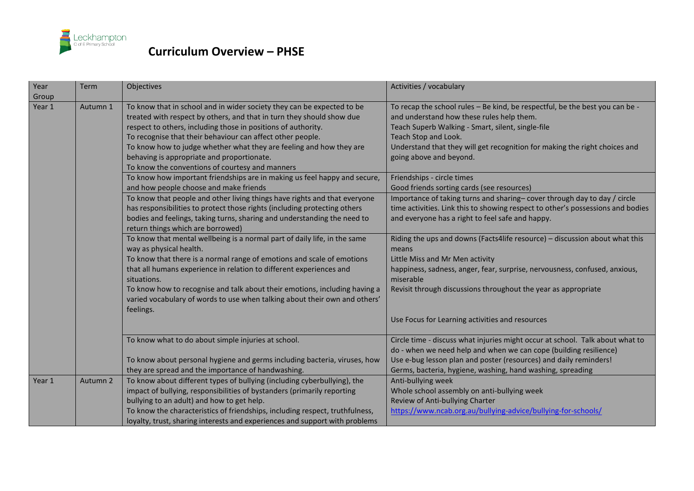

| Year<br>Group | Term     | Objectives                                                                                                                                                                                                                                                                                                                                                                                                                                             | Activities / vocabulary                                                                                                                                                                                                                                                                                         |
|---------------|----------|--------------------------------------------------------------------------------------------------------------------------------------------------------------------------------------------------------------------------------------------------------------------------------------------------------------------------------------------------------------------------------------------------------------------------------------------------------|-----------------------------------------------------------------------------------------------------------------------------------------------------------------------------------------------------------------------------------------------------------------------------------------------------------------|
| Year 1        | Autumn 1 | To know that in school and in wider society they can be expected to be<br>treated with respect by others, and that in turn they should show due<br>respect to others, including those in positions of authority.<br>To recognise that their behaviour can affect other people.<br>To know how to judge whether what they are feeling and how they are<br>behaving is appropriate and proportionate.<br>To know the conventions of courtesy and manners | To recap the school rules - Be kind, be respectful, be the best you can be -<br>and understand how these rules help them.<br>Teach Superb Walking - Smart, silent, single-file<br>Teach Stop and Look.<br>Understand that they will get recognition for making the right choices and<br>going above and beyond. |
|               |          | To know how important friendships are in making us feel happy and secure,<br>and how people choose and make friends                                                                                                                                                                                                                                                                                                                                    | Friendships - circle times<br>Good friends sorting cards (see resources)                                                                                                                                                                                                                                        |
|               |          | To know that people and other living things have rights and that everyone<br>has responsibilities to protect those rights (including protecting others<br>bodies and feelings, taking turns, sharing and understanding the need to<br>return things which are borrowed)                                                                                                                                                                                | Importance of taking turns and sharing-cover through day to day / circle<br>time activities. Link this to showing respect to other's possessions and bodies<br>and everyone has a right to feel safe and happy.                                                                                                 |
|               |          | To know that mental wellbeing is a normal part of daily life, in the same<br>way as physical health.<br>To know that there is a normal range of emotions and scale of emotions<br>that all humans experience in relation to different experiences and                                                                                                                                                                                                  | Riding the ups and downs (Facts4life resource) - discussion about what this<br>means<br>Little Miss and Mr Men activity<br>happiness, sadness, anger, fear, surprise, nervousness, confused, anxious,                                                                                                           |
|               |          | situations.<br>To know how to recognise and talk about their emotions, including having a<br>varied vocabulary of words to use when talking about their own and others'<br>feelings.                                                                                                                                                                                                                                                                   | miserable<br>Revisit through discussions throughout the year as appropriate                                                                                                                                                                                                                                     |
|               |          |                                                                                                                                                                                                                                                                                                                                                                                                                                                        | Use Focus for Learning activities and resources                                                                                                                                                                                                                                                                 |
|               |          | To know what to do about simple injuries at school.                                                                                                                                                                                                                                                                                                                                                                                                    | Circle time - discuss what injuries might occur at school. Talk about what to<br>do - when we need help and when we can cope (building resilience)                                                                                                                                                              |
|               |          | To know about personal hygiene and germs including bacteria, viruses, how<br>they are spread and the importance of handwashing.                                                                                                                                                                                                                                                                                                                        | Use e-bug lesson plan and poster (resources) and daily reminders!<br>Germs, bacteria, hygiene, washing, hand washing, spreading                                                                                                                                                                                 |
| Year 1        | Autumn 2 | To know about different types of bullying (including cyberbullying), the<br>impact of bullying, responsibilities of bystanders (primarily reporting<br>bullying to an adult) and how to get help.<br>To know the characteristics of friendships, including respect, truthfulness,<br>loyalty, trust, sharing interests and experiences and support with problems                                                                                       | Anti-bullying week<br>Whole school assembly on anti-bullying week<br>Review of Anti-bullying Charter<br>https://www.ncab.org.au/bullying-advice/bullying-for-schools/                                                                                                                                           |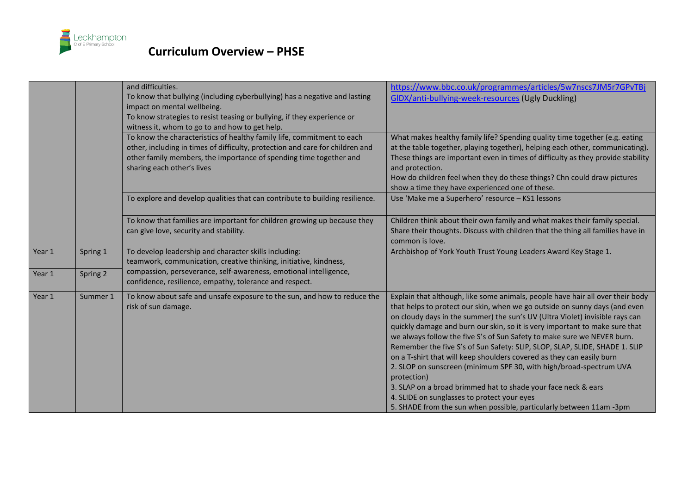

|        |          | and difficulties.<br>To know that bullying (including cyberbullying) has a negative and lasting<br>impact on mental wellbeing.<br>To know strategies to resist teasing or bullying, if they experience or<br>witness it, whom to go to and how to get help. | https://www.bbc.co.uk/programmes/articles/5w7nscs7JM5r7GPvTBj<br>GIDX/anti-bullying-week-resources (Ugly Duckling)                                                                                                                                                                                                                                                                                                                                                                                                                                                                                                                                                                                                                                                                                                                         |
|--------|----------|-------------------------------------------------------------------------------------------------------------------------------------------------------------------------------------------------------------------------------------------------------------|--------------------------------------------------------------------------------------------------------------------------------------------------------------------------------------------------------------------------------------------------------------------------------------------------------------------------------------------------------------------------------------------------------------------------------------------------------------------------------------------------------------------------------------------------------------------------------------------------------------------------------------------------------------------------------------------------------------------------------------------------------------------------------------------------------------------------------------------|
|        |          | To know the characteristics of healthy family life, commitment to each<br>other, including in times of difficulty, protection and care for children and<br>other family members, the importance of spending time together and<br>sharing each other's lives | What makes healthy family life? Spending quality time together (e.g. eating<br>at the table together, playing together), helping each other, communicating).<br>These things are important even in times of difficulty as they provide stability<br>and protection.<br>How do children feel when they do these things? Chn could draw pictures<br>show a time they have experienced one of these.                                                                                                                                                                                                                                                                                                                                                                                                                                          |
|        |          | To explore and develop qualities that can contribute to building resilience.                                                                                                                                                                                | Use 'Make me a Superhero' resource - KS1 lessons                                                                                                                                                                                                                                                                                                                                                                                                                                                                                                                                                                                                                                                                                                                                                                                           |
|        |          | To know that families are important for children growing up because they<br>can give love, security and stability.                                                                                                                                          | Children think about their own family and what makes their family special.<br>Share their thoughts. Discuss with children that the thing all families have in<br>common is love.                                                                                                                                                                                                                                                                                                                                                                                                                                                                                                                                                                                                                                                           |
| Year 1 | Spring 1 | To develop leadership and character skills including:<br>teamwork, communication, creative thinking, initiative, kindness,                                                                                                                                  | Archbishop of York Youth Trust Young Leaders Award Key Stage 1.                                                                                                                                                                                                                                                                                                                                                                                                                                                                                                                                                                                                                                                                                                                                                                            |
| Year 1 | Spring 2 | compassion, perseverance, self-awareness, emotional intelligence,<br>confidence, resilience, empathy, tolerance and respect.                                                                                                                                |                                                                                                                                                                                                                                                                                                                                                                                                                                                                                                                                                                                                                                                                                                                                                                                                                                            |
| Year 1 | Summer 1 | To know about safe and unsafe exposure to the sun, and how to reduce the<br>risk of sun damage.                                                                                                                                                             | Explain that although, like some animals, people have hair all over their body<br>that helps to protect our skin, when we go outside on sunny days (and even<br>on cloudy days in the summer) the sun's UV (Ultra Violet) invisible rays can<br>quickly damage and burn our skin, so it is very important to make sure that<br>we always follow the five S's of Sun Safety to make sure we NEVER burn.<br>Remember the five S's of Sun Safety: SLIP, SLOP, SLAP, SLIDE, SHADE 1. SLIP<br>on a T-shirt that will keep shoulders covered as they can easily burn<br>2. SLOP on sunscreen (minimum SPF 30, with high/broad-spectrum UVA<br>protection)<br>3. SLAP on a broad brimmed hat to shade your face neck & ears<br>4. SLIDE on sunglasses to protect your eyes<br>5. SHADE from the sun when possible, particularly between 11am -3pm |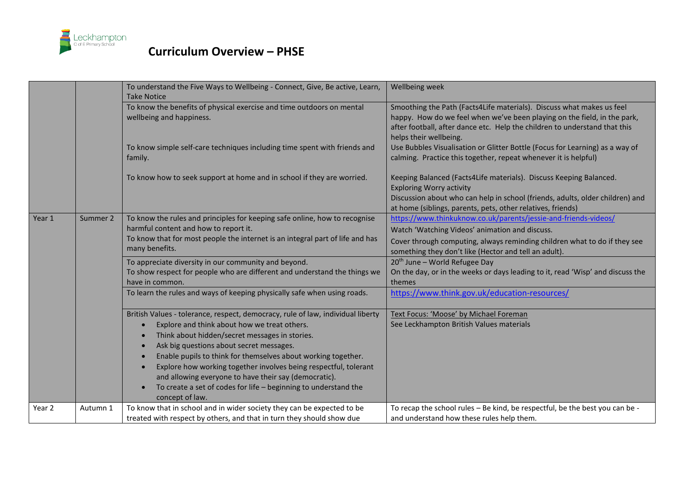

|        |          | To understand the Five Ways to Wellbeing - Connect, Give, Be active, Learn,<br><b>Take Notice</b>                                                                                                                                                                | Wellbeing week                                                                                                                                                                                                                                            |
|--------|----------|------------------------------------------------------------------------------------------------------------------------------------------------------------------------------------------------------------------------------------------------------------------|-----------------------------------------------------------------------------------------------------------------------------------------------------------------------------------------------------------------------------------------------------------|
|        |          | To know the benefits of physical exercise and time outdoors on mental<br>wellbeing and happiness.                                                                                                                                                                | Smoothing the Path (Facts4Life materials). Discuss what makes us feel<br>happy. How do we feel when we've been playing on the field, in the park,<br>after football, after dance etc. Help the children to understand that this<br>helps their wellbeing. |
|        |          | To know simple self-care techniques including time spent with friends and<br>family.                                                                                                                                                                             | Use Bubbles Visualisation or Glitter Bottle (Focus for Learning) as a way of<br>calming. Practice this together, repeat whenever it is helpful)                                                                                                           |
|        |          | To know how to seek support at home and in school if they are worried.                                                                                                                                                                                           | Keeping Balanced (Facts4Life materials). Discuss Keeping Balanced.<br><b>Exploring Worry activity</b><br>Discussion about who can help in school (friends, adults, older children) and<br>at home (siblings, parents, pets, other relatives, friends)     |
| Year 1 | Summer 2 | To know the rules and principles for keeping safe online, how to recognise<br>harmful content and how to report it.<br>To know that for most people the internet is an integral part of life and has<br>many benefits.                                           | https://www.thinkuknow.co.uk/parents/jessie-and-friends-videos/<br>Watch 'Watching Videos' animation and discuss.<br>Cover through computing, always reminding children what to do if they see<br>something they don't like (Hector and tell an adult).   |
|        |          | To appreciate diversity in our community and beyond.<br>To show respect for people who are different and understand the things we<br>have in common.                                                                                                             | 20 <sup>th</sup> June - World Refugee Day<br>On the day, or in the weeks or days leading to it, read 'Wisp' and discuss the<br>themes                                                                                                                     |
|        |          | To learn the rules and ways of keeping physically safe when using roads.                                                                                                                                                                                         | https://www.think.gov.uk/education-resources/                                                                                                                                                                                                             |
|        |          | British Values - tolerance, respect, democracy, rule of law, individual liberty<br>Explore and think about how we treat others.<br>Think about hidden/secret messages in stories.                                                                                | Text Focus: 'Moose' by Michael Foreman<br>See Leckhampton British Values materials                                                                                                                                                                        |
|        |          | Ask big questions about secret messages.<br>$\bullet$<br>Enable pupils to think for themselves about working together.<br>$\bullet$<br>Explore how working together involves being respectful, tolerant<br>and allowing everyone to have their say (democratic). |                                                                                                                                                                                                                                                           |
|        |          | To create a set of codes for life - beginning to understand the<br>concept of law.                                                                                                                                                                               |                                                                                                                                                                                                                                                           |
| Year 2 | Autumn 1 | To know that in school and in wider society they can be expected to be<br>treated with respect by others, and that in turn they should show due                                                                                                                  | To recap the school rules - Be kind, be respectful, be the best you can be -<br>and understand how these rules help them.                                                                                                                                 |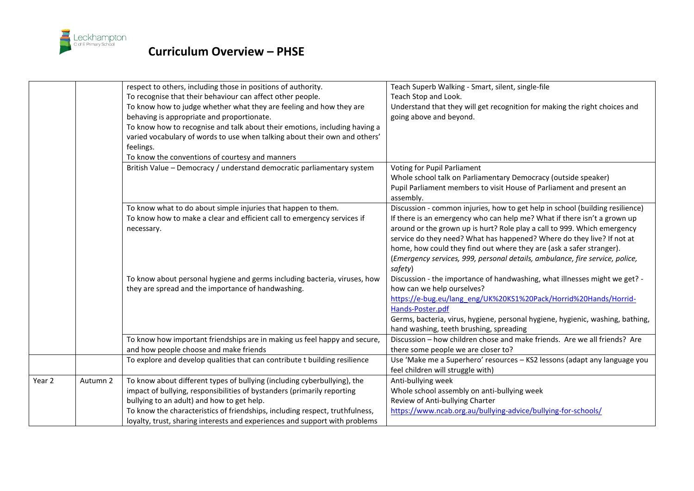

|        |          | respect to others, including those in positions of authority.<br>To recognise that their behaviour can affect other people.<br>To know how to judge whether what they are feeling and how they are<br>behaving is appropriate and proportionate.<br>To know how to recognise and talk about their emotions, including having a<br>varied vocabulary of words to use when talking about their own and others'<br>feelings.<br>To know the conventions of courtesy and manners | Teach Superb Walking - Smart, silent, single-file<br>Teach Stop and Look.<br>Understand that they will get recognition for making the right choices and<br>going above and beyond.                                                                                                                                                                                                                                                                                                                                                                               |
|--------|----------|------------------------------------------------------------------------------------------------------------------------------------------------------------------------------------------------------------------------------------------------------------------------------------------------------------------------------------------------------------------------------------------------------------------------------------------------------------------------------|------------------------------------------------------------------------------------------------------------------------------------------------------------------------------------------------------------------------------------------------------------------------------------------------------------------------------------------------------------------------------------------------------------------------------------------------------------------------------------------------------------------------------------------------------------------|
|        |          | British Value - Democracy / understand democratic parliamentary system                                                                                                                                                                                                                                                                                                                                                                                                       | Voting for Pupil Parliament<br>Whole school talk on Parliamentary Democracy (outside speaker)<br>Pupil Parliament members to visit House of Parliament and present an<br>assembly.                                                                                                                                                                                                                                                                                                                                                                               |
|        |          | To know what to do about simple injuries that happen to them.<br>To know how to make a clear and efficient call to emergency services if<br>necessary.<br>To know about personal hygiene and germs including bacteria, viruses, how                                                                                                                                                                                                                                          | Discussion - common injuries, how to get help in school (building resilience)<br>If there is an emergency who can help me? What if there isn't a grown up<br>around or the grown up is hurt? Role play a call to 999. Which emergency<br>service do they need? What has happened? Where do they live? If not at<br>home, how could they find out where they are (ask a safer stranger).<br>(Emergency services, 999, personal details, ambulance, fire service, police,<br>safety)<br>Discussion - the importance of handwashing, what illnesses might we get? - |
|        |          | they are spread and the importance of handwashing.                                                                                                                                                                                                                                                                                                                                                                                                                           | how can we help ourselves?<br>https://e-bug.eu/lang eng/UK%20KS1%20Pack/Horrid%20Hands/Horrid-<br>Hands-Poster.pdf<br>Germs, bacteria, virus, hygiene, personal hygiene, hygienic, washing, bathing,<br>hand washing, teeth brushing, spreading                                                                                                                                                                                                                                                                                                                  |
|        |          | To know how important friendships are in making us feel happy and secure,<br>and how people choose and make friends                                                                                                                                                                                                                                                                                                                                                          | Discussion - how children chose and make friends. Are we all friends? Are                                                                                                                                                                                                                                                                                                                                                                                                                                                                                        |
|        |          | To explore and develop qualities that can contribute t building resilience                                                                                                                                                                                                                                                                                                                                                                                                   | there some people we are closer to?<br>Use 'Make me a Superhero' resources - KS2 lessons (adapt any language you<br>feel children will struggle with)                                                                                                                                                                                                                                                                                                                                                                                                            |
| Year 2 | Autumn 2 | To know about different types of bullying (including cyberbullying), the<br>impact of bullying, responsibilities of bystanders (primarily reporting<br>bullying to an adult) and how to get help.<br>To know the characteristics of friendships, including respect, truthfulness,<br>loyalty, trust, sharing interests and experiences and support with problems                                                                                                             | Anti-bullying week<br>Whole school assembly on anti-bullying week<br>Review of Anti-bullying Charter<br>https://www.ncab.org.au/bullying-advice/bullying-for-schools/                                                                                                                                                                                                                                                                                                                                                                                            |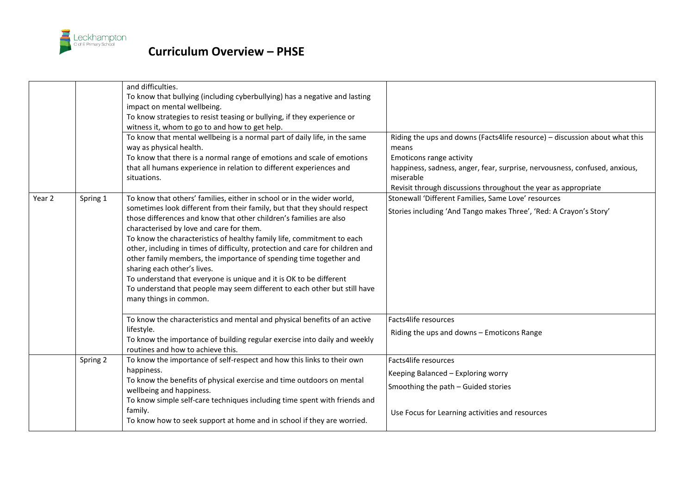

|        |          | and difficulties.<br>To know that bullying (including cyberbullying) has a negative and lasting<br>impact on mental wellbeing.<br>To know strategies to resist teasing or bullying, if they experience or<br>witness it, whom to go to and how to get help.<br>To know that mental wellbeing is a normal part of daily life, in the same<br>way as physical health.<br>To know that there is a normal range of emotions and scale of emotions<br>that all humans experience in relation to different experiences and<br>situations.                                                                                                                                                                               | Riding the ups and downs (Facts4life resource) - discussion about what this<br>means<br><b>Emoticons range activity</b><br>happiness, sadness, anger, fear, surprise, nervousness, confused, anxious,<br>miserable<br>Revisit through discussions throughout the year as appropriate |
|--------|----------|-------------------------------------------------------------------------------------------------------------------------------------------------------------------------------------------------------------------------------------------------------------------------------------------------------------------------------------------------------------------------------------------------------------------------------------------------------------------------------------------------------------------------------------------------------------------------------------------------------------------------------------------------------------------------------------------------------------------|--------------------------------------------------------------------------------------------------------------------------------------------------------------------------------------------------------------------------------------------------------------------------------------|
| Year 2 | Spring 1 | To know that others' families, either in school or in the wider world,<br>sometimes look different from their family, but that they should respect<br>those differences and know that other children's families are also<br>characterised by love and care for them.<br>To know the characteristics of healthy family life, commitment to each<br>other, including in times of difficulty, protection and care for children and<br>other family members, the importance of spending time together and<br>sharing each other's lives.<br>To understand that everyone is unique and it is OK to be different<br>To understand that people may seem different to each other but still have<br>many things in common. | Stonewall 'Different Families, Same Love' resources<br>Stories including 'And Tango makes Three', 'Red: A Crayon's Story'                                                                                                                                                            |
|        |          | To know the characteristics and mental and physical benefits of an active<br>lifestyle.<br>To know the importance of building regular exercise into daily and weekly<br>routines and how to achieve this.                                                                                                                                                                                                                                                                                                                                                                                                                                                                                                         | Facts4life resources<br>Riding the ups and downs - Emoticons Range                                                                                                                                                                                                                   |
|        | Spring 2 | To know the importance of self-respect and how this links to their own<br>happiness.<br>To know the benefits of physical exercise and time outdoors on mental<br>wellbeing and happiness.<br>To know simple self-care techniques including time spent with friends and<br>family.<br>To know how to seek support at home and in school if they are worried.                                                                                                                                                                                                                                                                                                                                                       | Facts4life resources<br>Keeping Balanced - Exploring worry<br>Smoothing the path - Guided stories<br>Use Focus for Learning activities and resources                                                                                                                                 |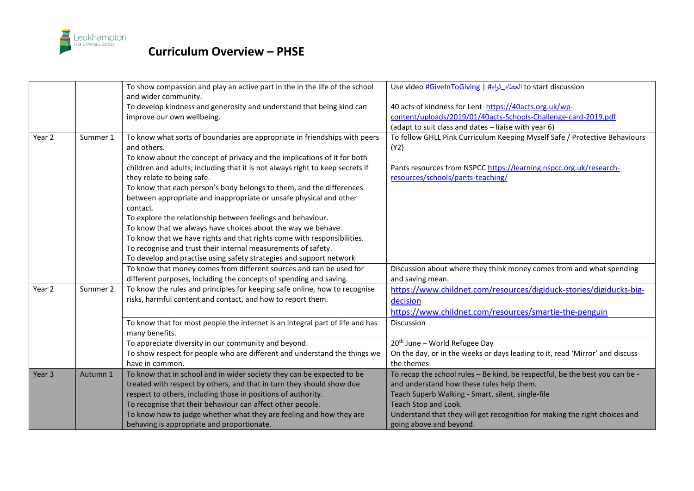

|                   |          | To show compassion and play an active part in the in the life of the school   | to start discussion العطاء_ثراء#   Use video #GivelnToGiving                 |
|-------------------|----------|-------------------------------------------------------------------------------|------------------------------------------------------------------------------|
|                   |          | and wider community.                                                          |                                                                              |
|                   |          | To develop kindness and generosity and understand that being kind can         | 40 acts of kindness for Lent https://40acts.org.uk/wp-                       |
|                   |          | improve our own wellbeing.                                                    | content/uploads/2019/01/40acts-Schools-Challenge-card-2019.pdf               |
|                   |          |                                                                               | (adapt to suit class and dates - liaise with year 6)                         |
| Year 2            | Summer 1 | To know what sorts of boundaries are appropriate in friendships with peers    | To follow GHLL Pink Curriculum Keeping Myself Safe / Protective Behaviours   |
|                   |          | and others.                                                                   | (Y2)                                                                         |
|                   |          | To know about the concept of privacy and the implications of it for both      |                                                                              |
|                   |          | children and adults; including that it is not always right to keep secrets if | Pants resources from NSPCC https://learning.nspcc.org.uk/research-           |
|                   |          | they relate to being safe.                                                    | resources/schools/pants-teaching/                                            |
|                   |          | To know that each person's body belongs to them, and the differences          |                                                                              |
|                   |          | between appropriate and inappropriate or unsafe physical and other            |                                                                              |
|                   |          | contact.                                                                      |                                                                              |
|                   |          | To explore the relationship between feelings and behaviour.                   |                                                                              |
|                   |          | To know that we always have choices about the way we behave.                  |                                                                              |
|                   |          | To know that we have rights and that rights come with responsibilities.       |                                                                              |
|                   |          | To recognise and trust their internal measurements of safety.                 |                                                                              |
|                   |          | To develop and practise using safety strategies and support network           |                                                                              |
|                   |          | To know that money comes from different sources and can be used for           | Discussion about where they think money comes from and what spending         |
|                   |          | different purposes, including the concepts of spending and saving.            | and saving mean.                                                             |
| Year 2            | Summer 2 | To know the rules and principles for keeping safe online, how to recognise    | https://www.childnet.com/resources/digiduck-stories/digiducks-big-           |
|                   |          | risks, harmful content and contact, and how to report them.                   | decision                                                                     |
|                   |          |                                                                               | https://www.childnet.com/resources/smartie-the-penguin                       |
|                   |          | To know that for most people the internet is an integral part of life and has | <b>Discussion</b>                                                            |
|                   |          | many benefits.                                                                |                                                                              |
|                   |          | To appreciate diversity in our community and beyond.                          | 20 <sup>th</sup> June - World Refugee Day                                    |
|                   |          | To show respect for people who are different and understand the things we     | On the day, or in the weeks or days leading to it, read 'Mirror' and discuss |
|                   |          | have in common.                                                               | the themes                                                                   |
| Year <sub>3</sub> | Autumn 1 | To know that in school and in wider society they can be expected to be        | To recap the school rules - Be kind, be respectful, be the best you can be - |
|                   |          | treated with respect by others, and that in turn they should show due         | and understand how these rules help them.                                    |
|                   |          | respect to others, including those in positions of authority.                 | Teach Superb Walking - Smart, silent, single-file                            |
|                   |          | To recognise that their behaviour can affect other people.                    | Teach Stop and Look.                                                         |
|                   |          | To know how to judge whether what they are feeling and how they are           | Understand that they will get recognition for making the right choices and   |
|                   |          | behaving is appropriate and proportionate.                                    | going above and beyond.                                                      |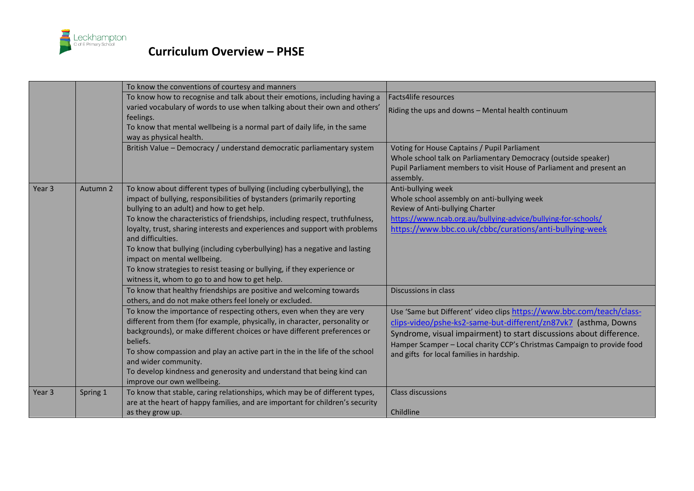

|                   |          | To know the conventions of courtesy and manners                                                                                                                                                                                                                                                                                                                                                                                                                                                                                                                                                                                 |                                                                                                                                                                                                                                                                                                                                        |
|-------------------|----------|---------------------------------------------------------------------------------------------------------------------------------------------------------------------------------------------------------------------------------------------------------------------------------------------------------------------------------------------------------------------------------------------------------------------------------------------------------------------------------------------------------------------------------------------------------------------------------------------------------------------------------|----------------------------------------------------------------------------------------------------------------------------------------------------------------------------------------------------------------------------------------------------------------------------------------------------------------------------------------|
|                   |          | To know how to recognise and talk about their emotions, including having a                                                                                                                                                                                                                                                                                                                                                                                                                                                                                                                                                      | Facts4life resources                                                                                                                                                                                                                                                                                                                   |
|                   |          | varied vocabulary of words to use when talking about their own and others'<br>feelings.                                                                                                                                                                                                                                                                                                                                                                                                                                                                                                                                         | Riding the ups and downs - Mental health continuum                                                                                                                                                                                                                                                                                     |
|                   |          | To know that mental wellbeing is a normal part of daily life, in the same<br>way as physical health.                                                                                                                                                                                                                                                                                                                                                                                                                                                                                                                            |                                                                                                                                                                                                                                                                                                                                        |
|                   |          | British Value - Democracy / understand democratic parliamentary system                                                                                                                                                                                                                                                                                                                                                                                                                                                                                                                                                          | Voting for House Captains / Pupil Parliament<br>Whole school talk on Parliamentary Democracy (outside speaker)<br>Pupil Parliament members to visit House of Parliament and present an<br>assembly.                                                                                                                                    |
| Year <sub>3</sub> | Autumn 2 | To know about different types of bullying (including cyberbullying), the<br>impact of bullying, responsibilities of bystanders (primarily reporting<br>bullying to an adult) and how to get help.<br>To know the characteristics of friendships, including respect, truthfulness,<br>loyalty, trust, sharing interests and experiences and support with problems<br>and difficulties.<br>To know that bullying (including cyberbullying) has a negative and lasting<br>impact on mental wellbeing.<br>To know strategies to resist teasing or bullying, if they experience or<br>witness it, whom to go to and how to get help. | Anti-bullying week<br>Whole school assembly on anti-bullying week<br>Review of Anti-bullying Charter<br>https://www.ncab.org.au/bullying-advice/bullying-for-schools/<br>https://www.bbc.co.uk/cbbc/curations/anti-bullying-week                                                                                                       |
|                   |          | To know that healthy friendships are positive and welcoming towards<br>others, and do not make others feel lonely or excluded.                                                                                                                                                                                                                                                                                                                                                                                                                                                                                                  | Discussions in class                                                                                                                                                                                                                                                                                                                   |
|                   |          | To know the importance of respecting others, even when they are very<br>different from them (for example, physically, in character, personality or<br>backgrounds), or make different choices or have different preferences or<br>beliefs.<br>To show compassion and play an active part in the in the life of the school<br>and wider community.<br>To develop kindness and generosity and understand that being kind can<br>improve our own wellbeing.                                                                                                                                                                        | Use 'Same but Different' video clips https://www.bbc.com/teach/class-<br>clips-video/pshe-ks2-same-but-different/zn87vk7 (asthma, Downs<br>Syndrome, visual impairment) to start discussions about difference.<br>Hamper Scamper - Local charity CCP's Christmas Campaign to provide food<br>and gifts for local families in hardship. |
| Year <sub>3</sub> | Spring 1 | To know that stable, caring relationships, which may be of different types,<br>are at the heart of happy families, and are important for children's security<br>as they grow up.                                                                                                                                                                                                                                                                                                                                                                                                                                                | <b>Class discussions</b><br>Childline                                                                                                                                                                                                                                                                                                  |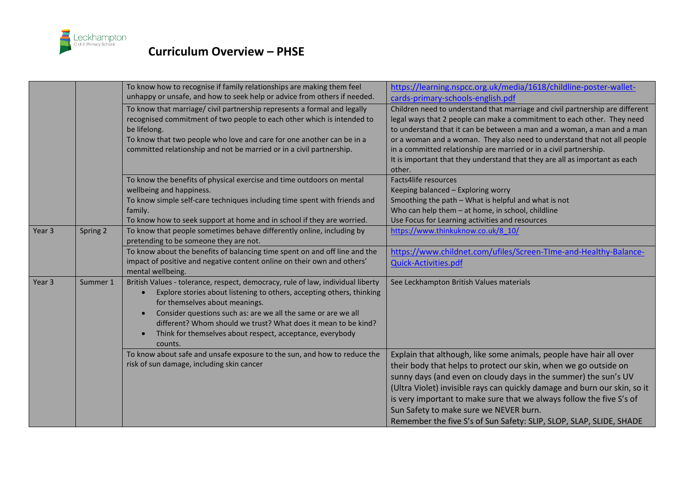

|        |          | To know how to recognise if family relationships are making them feel<br>unhappy or unsafe, and how to seek help or advice from others if needed.                                                                                                                                                                                                                                                                               | https://learning.nspcc.org.uk/media/1618/childline-poster-wallet-<br>cards-primary-schools-english.pdf                                                                                                                                                                                                                                                                                                                                                                           |
|--------|----------|---------------------------------------------------------------------------------------------------------------------------------------------------------------------------------------------------------------------------------------------------------------------------------------------------------------------------------------------------------------------------------------------------------------------------------|----------------------------------------------------------------------------------------------------------------------------------------------------------------------------------------------------------------------------------------------------------------------------------------------------------------------------------------------------------------------------------------------------------------------------------------------------------------------------------|
|        |          | To know that marriage/ civil partnership represents a formal and legally<br>recognised commitment of two people to each other which is intended to<br>be lifelong.<br>To know that two people who love and care for one another can be in a<br>committed relationship and not be married or in a civil partnership.                                                                                                             | Children need to understand that marriage and civil partnership are different<br>legal ways that 2 people can make a commitment to each other. They need<br>to understand that it can be between a man and a woman, a man and a man<br>or a woman and a woman. They also need to understand that not all people<br>in a committed relationship are married or in a civil partnership.<br>It is important that they understand that they are all as important as each<br>other.   |
|        |          | To know the benefits of physical exercise and time outdoors on mental<br>wellbeing and happiness.<br>To know simple self-care techniques including time spent with friends and<br>family.<br>To know how to seek support at home and in school if they are worried.                                                                                                                                                             | Facts4life resources<br>Keeping balanced - Exploring worry<br>Smoothing the path - What is helpful and what is not<br>Who can help them - at home, in school, childline<br>Use Focus for Learning activities and resources                                                                                                                                                                                                                                                       |
| Year 3 | Spring 2 | To know that people sometimes behave differently online, including by<br>pretending to be someone they are not.                                                                                                                                                                                                                                                                                                                 | https://www.thinkuknow.co.uk/8 10/                                                                                                                                                                                                                                                                                                                                                                                                                                               |
|        |          | To know about the benefits of balancing time spent on and off line and the<br>impact of positive and negative content online on their own and others'<br>mental wellbeing.                                                                                                                                                                                                                                                      | https://www.childnet.com/ufiles/Screen-TIme-and-Healthy-Balance-<br>Quick-Activities.pdf                                                                                                                                                                                                                                                                                                                                                                                         |
| Year 3 | Summer 1 | British Values - tolerance, respect, democracy, rule of law, individual liberty<br>Explore stories about listening to others, accepting others, thinking<br>for themselves about meanings.<br>Consider questions such as: are we all the same or are we all<br>$\bullet$<br>different? Whom should we trust? What does it mean to be kind?<br>Think for themselves about respect, acceptance, everybody<br>$\bullet$<br>counts. | See Leckhampton British Values materials                                                                                                                                                                                                                                                                                                                                                                                                                                         |
|        |          | To know about safe and unsafe exposure to the sun, and how to reduce the<br>risk of sun damage, including skin cancer                                                                                                                                                                                                                                                                                                           | Explain that although, like some animals, people have hair all over<br>their body that helps to protect our skin, when we go outside on<br>sunny days (and even on cloudy days in the summer) the sun's UV<br>(Ultra Violet) invisible rays can quickly damage and burn our skin, so it<br>is very important to make sure that we always follow the five S's of<br>Sun Safety to make sure we NEVER burn.<br>Remember the five S's of Sun Safety: SLIP, SLOP, SLAP, SLIDE, SHADE |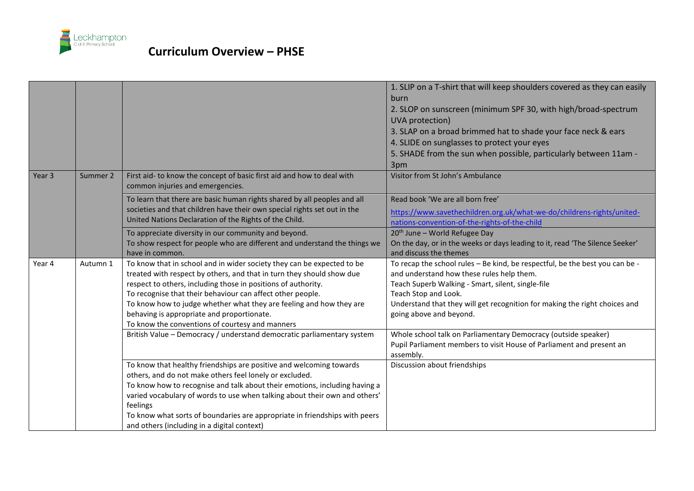

|                   |          |                                                                                                                                                                                                                                                                                                                                                                                                                                                        | 1. SLIP on a T-shirt that will keep shoulders covered as they can easily<br>burn<br>2. SLOP on sunscreen (minimum SPF 30, with high/broad-spectrum<br>UVA protection)<br>3. SLAP on a broad brimmed hat to shade your face neck & ears<br>4. SLIDE on sunglasses to protect your eyes<br>5. SHADE from the sun when possible, particularly between 11am -<br>3pm |
|-------------------|----------|--------------------------------------------------------------------------------------------------------------------------------------------------------------------------------------------------------------------------------------------------------------------------------------------------------------------------------------------------------------------------------------------------------------------------------------------------------|------------------------------------------------------------------------------------------------------------------------------------------------------------------------------------------------------------------------------------------------------------------------------------------------------------------------------------------------------------------|
| Year <sub>3</sub> | Summer 2 | First aid- to know the concept of basic first aid and how to deal with<br>common injuries and emergencies.                                                                                                                                                                                                                                                                                                                                             | Visitor from St John's Ambulance                                                                                                                                                                                                                                                                                                                                 |
|                   |          | To learn that there are basic human rights shared by all peoples and all<br>societies and that children have their own special rights set out in the<br>United Nations Declaration of the Rights of the Child.                                                                                                                                                                                                                                         | Read book 'We are all born free'<br>https://www.savethechildren.org.uk/what-we-do/childrens-rights/united-<br>nations-convention-of-the-rights-of-the-child                                                                                                                                                                                                      |
|                   |          | To appreciate diversity in our community and beyond.<br>To show respect for people who are different and understand the things we<br>have in common.                                                                                                                                                                                                                                                                                                   | $20th$ June – World Refugee Day<br>On the day, or in the weeks or days leading to it, read 'The Silence Seeker'<br>and discuss the themes                                                                                                                                                                                                                        |
| Year 4            | Autumn 1 | To know that in school and in wider society they can be expected to be<br>treated with respect by others, and that in turn they should show due<br>respect to others, including those in positions of authority.<br>To recognise that their behaviour can affect other people.<br>To know how to judge whether what they are feeling and how they are<br>behaving is appropriate and proportionate.<br>To know the conventions of courtesy and manners | To recap the school rules - Be kind, be respectful, be the best you can be -<br>and understand how these rules help them.<br>Teach Superb Walking - Smart, silent, single-file<br>Teach Stop and Look.<br>Understand that they will get recognition for making the right choices and<br>going above and beyond.                                                  |
|                   |          | British Value - Democracy / understand democratic parliamentary system                                                                                                                                                                                                                                                                                                                                                                                 | Whole school talk on Parliamentary Democracy (outside speaker)<br>Pupil Parliament members to visit House of Parliament and present an<br>assembly.                                                                                                                                                                                                              |
|                   |          | To know that healthy friendships are positive and welcoming towards<br>others, and do not make others feel lonely or excluded.<br>To know how to recognise and talk about their emotions, including having a<br>varied vocabulary of words to use when talking about their own and others'<br>feelings<br>To know what sorts of boundaries are appropriate in friendships with peers<br>and others (including in a digital context)                    | Discussion about friendships                                                                                                                                                                                                                                                                                                                                     |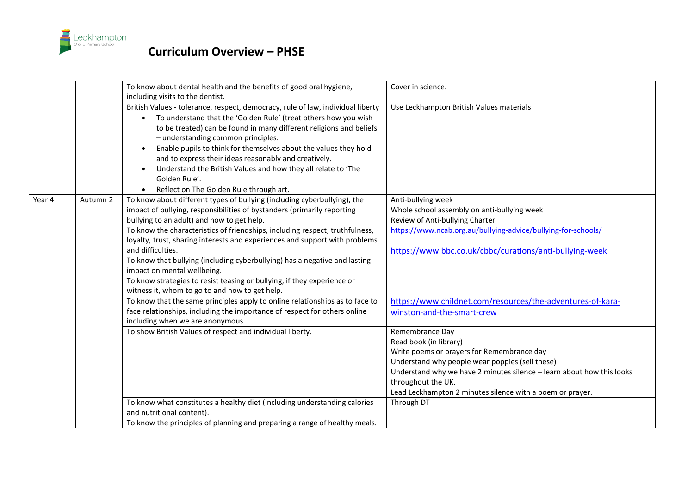

|        |          | To know about dental health and the benefits of good oral hygiene,<br>including visits to the dentist.                                                                                                                                                                                                                                                                                                                                                                                                                                                                                                                          | Cover in science.                                                                                                                                                                                                                                                                                      |
|--------|----------|---------------------------------------------------------------------------------------------------------------------------------------------------------------------------------------------------------------------------------------------------------------------------------------------------------------------------------------------------------------------------------------------------------------------------------------------------------------------------------------------------------------------------------------------------------------------------------------------------------------------------------|--------------------------------------------------------------------------------------------------------------------------------------------------------------------------------------------------------------------------------------------------------------------------------------------------------|
|        |          | British Values - tolerance, respect, democracy, rule of law, individual liberty<br>To understand that the 'Golden Rule' (treat others how you wish<br>to be treated) can be found in many different religions and beliefs<br>- understanding common principles.<br>Enable pupils to think for themselves about the values they hold<br>and to express their ideas reasonably and creatively.<br>Understand the British Values and how they all relate to 'The<br>Golden Rule'.<br>Reflect on The Golden Rule through art.                                                                                                       | Use Leckhampton British Values materials                                                                                                                                                                                                                                                               |
| Year 4 | Autumn 2 | To know about different types of bullying (including cyberbullying), the<br>impact of bullying, responsibilities of bystanders (primarily reporting<br>bullying to an adult) and how to get help.<br>To know the characteristics of friendships, including respect, truthfulness,<br>loyalty, trust, sharing interests and experiences and support with problems<br>and difficulties.<br>To know that bullying (including cyberbullying) has a negative and lasting<br>impact on mental wellbeing.<br>To know strategies to resist teasing or bullying, if they experience or<br>witness it, whom to go to and how to get help. | Anti-bullying week<br>Whole school assembly on anti-bullying week<br>Review of Anti-bullying Charter<br>https://www.ncab.org.au/bullying-advice/bullying-for-schools/<br>https://www.bbc.co.uk/cbbc/curations/anti-bullying-week                                                                       |
|        |          | To know that the same principles apply to online relationships as to face to<br>face relationships, including the importance of respect for others online<br>including when we are anonymous.                                                                                                                                                                                                                                                                                                                                                                                                                                   | https://www.childnet.com/resources/the-adventures-of-kara-<br>winston-and-the-smart-crew                                                                                                                                                                                                               |
|        |          | To show British Values of respect and individual liberty.                                                                                                                                                                                                                                                                                                                                                                                                                                                                                                                                                                       | Remembrance Day<br>Read book (in library)<br>Write poems or prayers for Remembrance day<br>Understand why people wear poppies (sell these)<br>Understand why we have 2 minutes silence - learn about how this looks<br>throughout the UK.<br>Lead Leckhampton 2 minutes silence with a poem or prayer. |
|        |          | To know what constitutes a healthy diet (including understanding calories<br>and nutritional content).<br>To know the principles of planning and preparing a range of healthy meals.                                                                                                                                                                                                                                                                                                                                                                                                                                            | Through DT                                                                                                                                                                                                                                                                                             |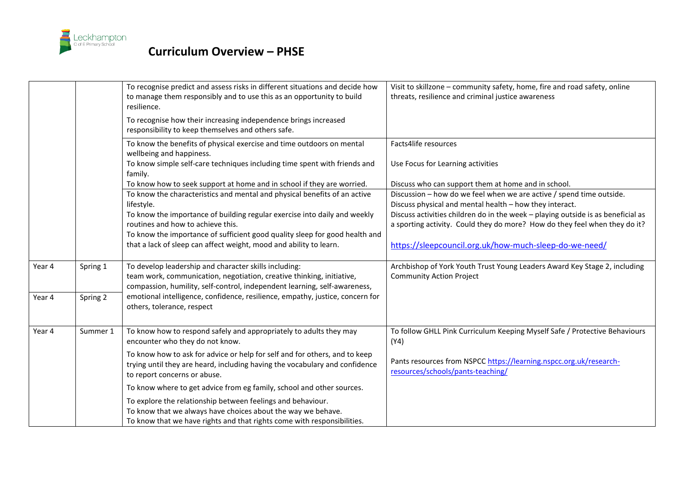

|        |          | To recognise predict and assess risks in different situations and decide how<br>to manage them responsibly and to use this as an opportunity to build<br>resilience.                      | Visit to skillzone - community safety, home, fire and road safety, online<br>threats, resilience and criminal justice awareness |
|--------|----------|-------------------------------------------------------------------------------------------------------------------------------------------------------------------------------------------|---------------------------------------------------------------------------------------------------------------------------------|
|        |          | To recognise how their increasing independence brings increased<br>responsibility to keep themselves and others safe.                                                                     |                                                                                                                                 |
|        |          | To know the benefits of physical exercise and time outdoors on mental<br>wellbeing and happiness.                                                                                         | Facts4life resources                                                                                                            |
|        |          | To know simple self-care techniques including time spent with friends and<br>family.                                                                                                      | Use Focus for Learning activities                                                                                               |
|        |          | To know how to seek support at home and in school if they are worried.                                                                                                                    | Discuss who can support them at home and in school.                                                                             |
|        |          | To know the characteristics and mental and physical benefits of an active                                                                                                                 | Discussion - how do we feel when we are active / spend time outside.                                                            |
|        |          | lifestyle.                                                                                                                                                                                | Discuss physical and mental health - how they interact.                                                                         |
|        |          | To know the importance of building regular exercise into daily and weekly                                                                                                                 | Discuss activities children do in the week - playing outside is as beneficial as                                                |
|        |          | routines and how to achieve this.                                                                                                                                                         | a sporting activity. Could they do more? How do they feel when they do it?                                                      |
|        |          | To know the importance of sufficient good quality sleep for good health and                                                                                                               |                                                                                                                                 |
|        |          | that a lack of sleep can affect weight, mood and ability to learn.                                                                                                                        | https://sleepcouncil.org.uk/how-much-sleep-do-we-need/                                                                          |
| Year 4 | Spring 1 | To develop leadership and character skills including:                                                                                                                                     | Archbishop of York Youth Trust Young Leaders Award Key Stage 2, including                                                       |
|        |          | team work, communication, negotiation, creative thinking, initiative,<br>compassion, humility, self-control, independent learning, self-awareness,                                        | <b>Community Action Project</b>                                                                                                 |
| Year 4 | Spring 2 | emotional intelligence, confidence, resilience, empathy, justice, concern for<br>others, tolerance, respect                                                                               |                                                                                                                                 |
| Year 4 | Summer 1 | To know how to respond safely and appropriately to adults they may<br>encounter who they do not know.                                                                                     | To follow GHLL Pink Curriculum Keeping Myself Safe / Protective Behaviours<br>(Y4)                                              |
|        |          | To know how to ask for advice or help for self and for others, and to keep<br>trying until they are heard, including having the vocabulary and confidence<br>to report concerns or abuse. | Pants resources from NSPCC https://learning.nspcc.org.uk/research-<br>resources/schools/pants-teaching/                         |
|        |          | To know where to get advice from eg family, school and other sources.                                                                                                                     |                                                                                                                                 |
|        |          | To explore the relationship between feelings and behaviour.                                                                                                                               |                                                                                                                                 |
|        |          | To know that we always have choices about the way we behave.                                                                                                                              |                                                                                                                                 |
|        |          | To know that we have rights and that rights come with responsibilities.                                                                                                                   |                                                                                                                                 |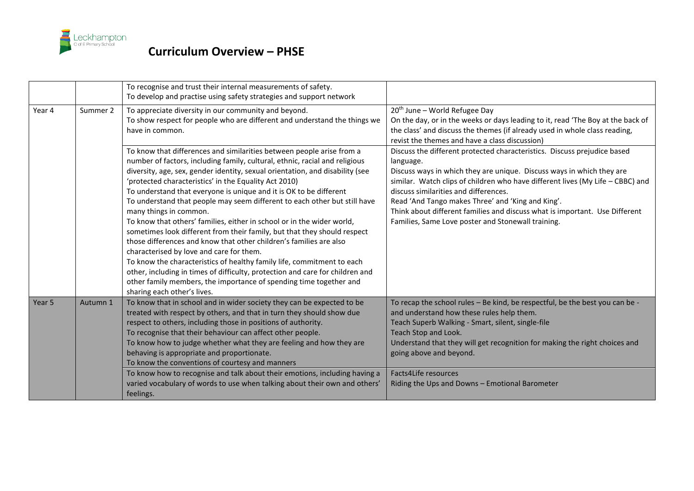

|        |          | To recognise and trust their internal measurements of safety.<br>To develop and practise using safety strategies and support network                                                                                                                                                                                                                                                                                                                                                                                                                                                                                                                                                                                                                                                                                                                                                                                                                                                                                |                                                                                                                                                                                                                                                                                                                                                                                                                                                                                     |
|--------|----------|---------------------------------------------------------------------------------------------------------------------------------------------------------------------------------------------------------------------------------------------------------------------------------------------------------------------------------------------------------------------------------------------------------------------------------------------------------------------------------------------------------------------------------------------------------------------------------------------------------------------------------------------------------------------------------------------------------------------------------------------------------------------------------------------------------------------------------------------------------------------------------------------------------------------------------------------------------------------------------------------------------------------|-------------------------------------------------------------------------------------------------------------------------------------------------------------------------------------------------------------------------------------------------------------------------------------------------------------------------------------------------------------------------------------------------------------------------------------------------------------------------------------|
| Year 4 | Summer 2 | To appreciate diversity in our community and beyond.<br>To show respect for people who are different and understand the things we<br>have in common.                                                                                                                                                                                                                                                                                                                                                                                                                                                                                                                                                                                                                                                                                                                                                                                                                                                                | $20th$ June – World Refugee Day<br>On the day, or in the weeks or days leading to it, read 'The Boy at the back of<br>the class' and discuss the themes (if already used in whole class reading,<br>revist the themes and have a class discussion)                                                                                                                                                                                                                                  |
|        |          | To know that differences and similarities between people arise from a<br>number of factors, including family, cultural, ethnic, racial and religious<br>diversity, age, sex, gender identity, sexual orientation, and disability (see<br>'protected characteristics' in the Equality Act 2010)<br>To understand that everyone is unique and it is OK to be different<br>To understand that people may seem different to each other but still have<br>many things in common.<br>To know that others' families, either in school or in the wider world,<br>sometimes look different from their family, but that they should respect<br>those differences and know that other children's families are also<br>characterised by love and care for them.<br>To know the characteristics of healthy family life, commitment to each<br>other, including in times of difficulty, protection and care for children and<br>other family members, the importance of spending time together and<br>sharing each other's lives. | Discuss the different protected characteristics. Discuss prejudice based<br>language.<br>Discuss ways in which they are unique. Discuss ways in which they are<br>similar. Watch clips of children who have different lives (My Life - CBBC) and<br>discuss similarities and differences.<br>Read 'And Tango makes Three' and 'King and King'.<br>Think about different families and discuss what is important. Use Different<br>Families, Same Love poster and Stonewall training. |
| Year 5 | Autumn 1 | To know that in school and in wider society they can be expected to be<br>treated with respect by others, and that in turn they should show due<br>respect to others, including those in positions of authority.<br>To recognise that their behaviour can affect other people.<br>To know how to judge whether what they are feeling and how they are<br>behaving is appropriate and proportionate.<br>To know the conventions of courtesy and manners<br>To know how to recognise and talk about their emotions, including having a                                                                                                                                                                                                                                                                                                                                                                                                                                                                                | To recap the school rules - Be kind, be respectful, be the best you can be -<br>and understand how these rules help them.<br>Teach Superb Walking - Smart, silent, single-file<br>Teach Stop and Look.<br>Understand that they will get recognition for making the right choices and<br>going above and beyond.<br>Facts4Life resources                                                                                                                                             |
|        |          | varied vocabulary of words to use when talking about their own and others'<br>feelings.                                                                                                                                                                                                                                                                                                                                                                                                                                                                                                                                                                                                                                                                                                                                                                                                                                                                                                                             | Riding the Ups and Downs - Emotional Barometer                                                                                                                                                                                                                                                                                                                                                                                                                                      |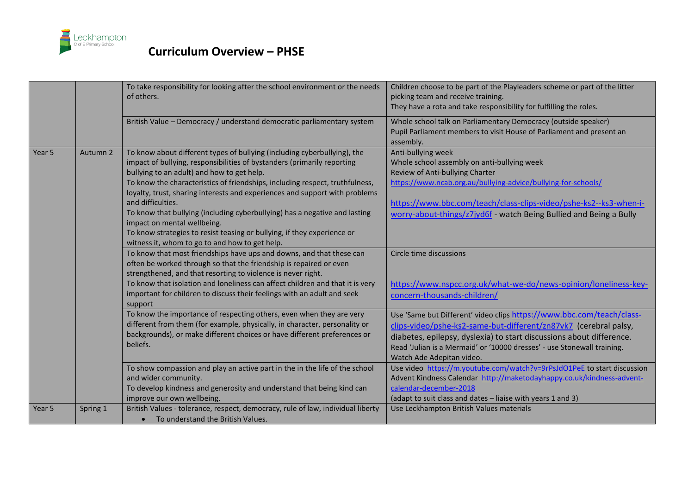

|        |          | To take responsibility for looking after the school environment or the needs<br>of others.                                                                                                                                                                                                                                                                                                                                                                                                                                                                                                                                      | Children choose to be part of the Playleaders scheme or part of the litter<br>picking team and receive training.<br>They have a rota and take responsibility for fulfilling the roles.                                                                                                                                    |
|--------|----------|---------------------------------------------------------------------------------------------------------------------------------------------------------------------------------------------------------------------------------------------------------------------------------------------------------------------------------------------------------------------------------------------------------------------------------------------------------------------------------------------------------------------------------------------------------------------------------------------------------------------------------|---------------------------------------------------------------------------------------------------------------------------------------------------------------------------------------------------------------------------------------------------------------------------------------------------------------------------|
|        |          | British Value - Democracy / understand democratic parliamentary system                                                                                                                                                                                                                                                                                                                                                                                                                                                                                                                                                          | Whole school talk on Parliamentary Democracy (outside speaker)<br>Pupil Parliament members to visit House of Parliament and present an<br>assembly.                                                                                                                                                                       |
| Year 5 | Autumn 2 | To know about different types of bullying (including cyberbullying), the<br>impact of bullying, responsibilities of bystanders (primarily reporting<br>bullying to an adult) and how to get help.<br>To know the characteristics of friendships, including respect, truthfulness,<br>loyalty, trust, sharing interests and experiences and support with problems<br>and difficulties.<br>To know that bullying (including cyberbullying) has a negative and lasting<br>impact on mental wellbeing.<br>To know strategies to resist teasing or bullying, if they experience or<br>witness it, whom to go to and how to get help. | Anti-bullying week<br>Whole school assembly on anti-bullying week<br>Review of Anti-bullying Charter<br>https://www.ncab.org.au/bullying-advice/bullying-for-schools/<br>https://www.bbc.com/teach/class-clips-video/pshe-ks2--ks3-when-i-<br>worry-about-things/z7jyd6f - watch Being Bullied and Being a Bully          |
|        |          | To know that most friendships have ups and downs, and that these can<br>often be worked through so that the friendship is repaired or even<br>strengthened, and that resorting to violence is never right.<br>To know that isolation and loneliness can affect children and that it is very<br>important for children to discuss their feelings with an adult and seek<br>support                                                                                                                                                                                                                                               | Circle time discussions<br>https://www.nspcc.org.uk/what-we-do/news-opinion/loneliness-key-<br>concern-thousands-children/                                                                                                                                                                                                |
|        |          | To know the importance of respecting others, even when they are very<br>different from them (for example, physically, in character, personality or<br>backgrounds), or make different choices or have different preferences or<br>beliefs.                                                                                                                                                                                                                                                                                                                                                                                      | Use 'Same but Different' video clips https://www.bbc.com/teach/class-<br>clips-video/pshe-ks2-same-but-different/zn87vk7 (cerebral palsy,<br>diabetes, epilepsy, dyslexia) to start discussions about difference.<br>Read 'Julian is a Mermaid' or '10000 dresses' - use Stonewall training.<br>Watch Ade Adepitan video. |
|        |          | To show compassion and play an active part in the in the life of the school<br>and wider community.<br>To develop kindness and generosity and understand that being kind can<br>improve our own wellbeing.                                                                                                                                                                                                                                                                                                                                                                                                                      | Use video https://m.youtube.com/watch?v=9rPsJdO1PeE to start discussion<br>Advent Kindness Calendar http://maketodayhappy.co.uk/kindness-advent-<br>calendar-december-2018<br>(adapt to suit class and dates - liaise with years 1 and 3)                                                                                 |
| Year 5 | Spring 1 | British Values - tolerance, respect, democracy, rule of law, individual liberty<br>To understand the British Values.<br>$\bullet$                                                                                                                                                                                                                                                                                                                                                                                                                                                                                               | Use Leckhampton British Values materials                                                                                                                                                                                                                                                                                  |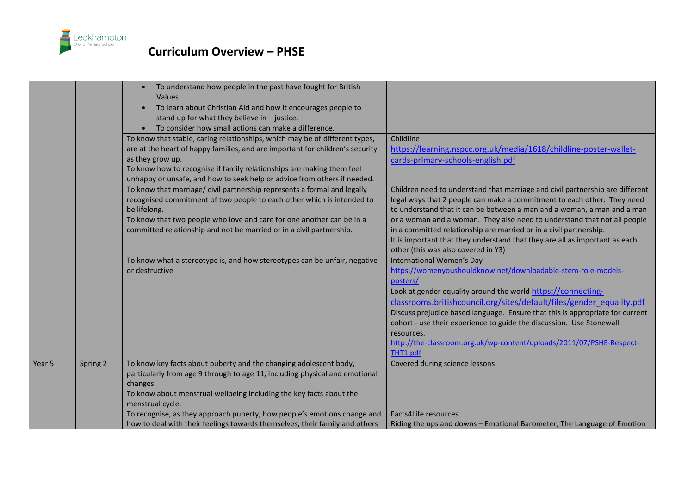

|        |          | To understand how people in the past have fought for British                  |                                                                               |
|--------|----------|-------------------------------------------------------------------------------|-------------------------------------------------------------------------------|
|        |          | Values.                                                                       |                                                                               |
|        |          | To learn about Christian Aid and how it encourages people to                  |                                                                               |
|        |          | stand up for what they believe in $-$ justice.                                |                                                                               |
|        |          | To consider how small actions can make a difference.                          |                                                                               |
|        |          | To know that stable, caring relationships, which may be of different types,   | Childline                                                                     |
|        |          | are at the heart of happy families, and are important for children's security |                                                                               |
|        |          | as they grow up.                                                              | https://learning.nspcc.org.uk/media/1618/childline-poster-wallet-             |
|        |          | To know how to recognise if family relationships are making them feel         | cards-primary-schools-english.pdf                                             |
|        |          | unhappy or unsafe, and how to seek help or advice from others if needed.      |                                                                               |
|        |          | To know that marriage/ civil partnership represents a formal and legally      | Children need to understand that marriage and civil partnership are different |
|        |          | recognised commitment of two people to each other which is intended to        | legal ways that 2 people can make a commitment to each other. They need       |
|        |          | be lifelong.                                                                  | to understand that it can be between a man and a woman, a man and a man       |
|        |          | To know that two people who love and care for one another can be in a         | or a woman and a woman. They also need to understand that not all people      |
|        |          | committed relationship and not be married or in a civil partnership.          | in a committed relationship are married or in a civil partnership.            |
|        |          |                                                                               | It is important that they understand that they are all as important as each   |
|        |          |                                                                               | other (this was also covered in Y3)                                           |
|        |          | To know what a stereotype is, and how stereotypes can be unfair, negative     | International Women's Day                                                     |
|        |          | or destructive                                                                | https://womenyoushouldknow.net/downloadable-stem-role-models-                 |
|        |          |                                                                               | posters/                                                                      |
|        |          |                                                                               | Look at gender equality around the world https://connecting-                  |
|        |          |                                                                               | classrooms.britishcouncil.org/sites/default/files/gender equality.pdf         |
|        |          |                                                                               | Discuss prejudice based language. Ensure that this is appropriate for current |
|        |          |                                                                               | cohort - use their experience to guide the discussion. Use Stonewall          |
|        |          |                                                                               | resources.                                                                    |
|        |          |                                                                               | http://the-classroom.org.uk/wp-content/uploads/2011/07/PSHE-Respect-          |
|        |          |                                                                               | THT1.pdf                                                                      |
| Year 5 | Spring 2 | To know key facts about puberty and the changing adolescent body,             | Covered during science lessons                                                |
|        |          | particularly from age 9 through to age 11, including physical and emotional   |                                                                               |
|        |          | changes.                                                                      |                                                                               |
|        |          | To know about menstrual wellbeing including the key facts about the           |                                                                               |
|        |          | menstrual cycle.                                                              |                                                                               |
|        |          | To recognise, as they approach puberty, how people's emotions change and      | Facts4Life resources                                                          |
|        |          | how to deal with their feelings towards themselves, their family and others   | Riding the ups and downs - Emotional Barometer, The Language of Emotion       |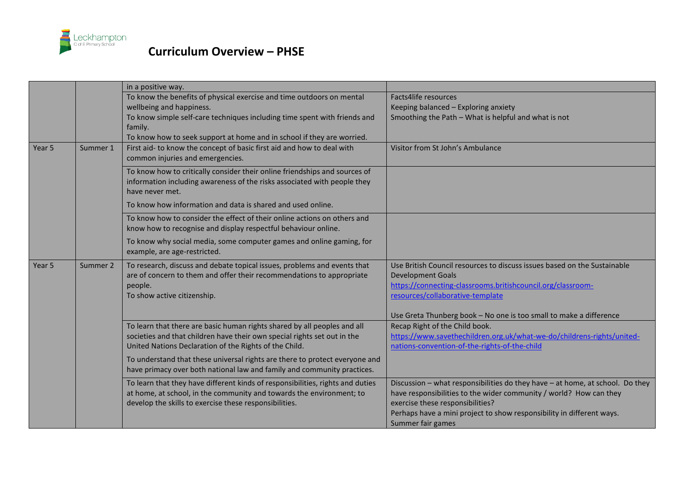

|                   |          | in a positive way.                                                                                         |                                                                                                 |
|-------------------|----------|------------------------------------------------------------------------------------------------------------|-------------------------------------------------------------------------------------------------|
|                   |          | To know the benefits of physical exercise and time outdoors on mental                                      | Facts4life resources                                                                            |
|                   |          | wellbeing and happiness.                                                                                   | Keeping balanced - Exploring anxiety                                                            |
|                   |          | To know simple self-care techniques including time spent with friends and                                  | Smoothing the Path - What is helpful and what is not                                            |
|                   |          | family.                                                                                                    |                                                                                                 |
|                   |          | To know how to seek support at home and in school if they are worried.                                     |                                                                                                 |
| Year 5            | Summer 1 | First aid- to know the concept of basic first aid and how to deal with<br>common injuries and emergencies. | Visitor from St John's Ambulance                                                                |
|                   |          | To know how to critically consider their online friendships and sources of                                 |                                                                                                 |
|                   |          | information including awareness of the risks associated with people they<br>have never met.                |                                                                                                 |
|                   |          | To know how information and data is shared and used online.                                                |                                                                                                 |
|                   |          | To know how to consider the effect of their online actions on others and                                   |                                                                                                 |
|                   |          | know how to recognise and display respectful behaviour online.                                             |                                                                                                 |
|                   |          | To know why social media, some computer games and online gaming, for<br>example, are age-restricted.       |                                                                                                 |
|                   |          |                                                                                                            |                                                                                                 |
| Year <sub>5</sub> | Summer 2 | To research, discuss and debate topical issues, problems and events that                                   | Use British Council resources to discuss issues based on the Sustainable                        |
|                   |          | are of concern to them and offer their recommendations to appropriate                                      | <b>Development Goals</b>                                                                        |
|                   |          | people.<br>To show active citizenship.                                                                     | https://connecting-classrooms.britishcouncil.org/classroom-<br>resources/collaborative-template |
|                   |          |                                                                                                            |                                                                                                 |
|                   |          |                                                                                                            | Use Greta Thunberg book - No one is too small to make a difference                              |
|                   |          | To learn that there are basic human rights shared by all peoples and all                                   | Recap Right of the Child book.                                                                  |
|                   |          | societies and that children have their own special rights set out in the                                   | https://www.savethechildren.org.uk/what-we-do/childrens-rights/united-                          |
|                   |          | United Nations Declaration of the Rights of the Child.                                                     | nations-convention-of-the-rights-of-the-child                                                   |
|                   |          | To understand that these universal rights are there to protect everyone and                                |                                                                                                 |
|                   |          | have primacy over both national law and family and community practices.                                    |                                                                                                 |
|                   |          | To learn that they have different kinds of responsibilities, rights and duties                             | Discussion - what responsibilities do they have - at home, at school. Do they                   |
|                   |          | at home, at school, in the community and towards the environment; to                                       | have responsibilities to the wider community / world? How can they                              |
|                   |          | develop the skills to exercise these responsibilities.                                                     | exercise these responsibilities?                                                                |
|                   |          |                                                                                                            | Perhaps have a mini project to show responsibility in different ways.                           |
|                   |          |                                                                                                            | Summer fair games                                                                               |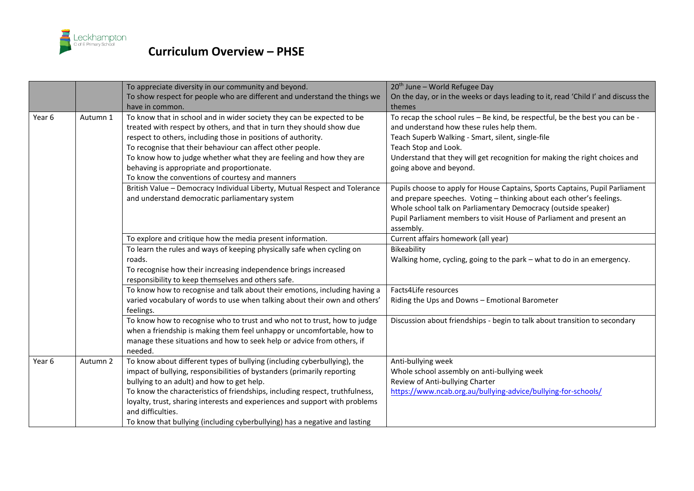

|                   |          | To appreciate diversity in our community and beyond.<br>To show respect for people who are different and understand the things we                                                                                                                                                                                                                                                                                                                                   | 20 <sup>th</sup> June - World Refugee Day                                                                                                                                                                                                                                                                       |
|-------------------|----------|---------------------------------------------------------------------------------------------------------------------------------------------------------------------------------------------------------------------------------------------------------------------------------------------------------------------------------------------------------------------------------------------------------------------------------------------------------------------|-----------------------------------------------------------------------------------------------------------------------------------------------------------------------------------------------------------------------------------------------------------------------------------------------------------------|
|                   |          | have in common.                                                                                                                                                                                                                                                                                                                                                                                                                                                     | On the day, or in the weeks or days leading to it, read 'Child I' and discuss the<br>themes                                                                                                                                                                                                                     |
| Year <sub>6</sub> | Autumn 1 | To know that in school and in wider society they can be expected to be<br>treated with respect by others, and that in turn they should show due<br>respect to others, including those in positions of authority.<br>To recognise that their behaviour can affect other people.<br>To know how to judge whether what they are feeling and how they are<br>behaving is appropriate and proportionate.<br>To know the conventions of courtesy and manners              | To recap the school rules - Be kind, be respectful, be the best you can be -<br>and understand how these rules help them.<br>Teach Superb Walking - Smart, silent, single-file<br>Teach Stop and Look.<br>Understand that they will get recognition for making the right choices and<br>going above and beyond. |
|                   |          | British Value - Democracy Individual Liberty, Mutual Respect and Tolerance<br>and understand democratic parliamentary system                                                                                                                                                                                                                                                                                                                                        | Pupils choose to apply for House Captains, Sports Captains, Pupil Parliament<br>and prepare speeches. Voting - thinking about each other's feelings.<br>Whole school talk on Parliamentary Democracy (outside speaker)<br>Pupil Parliament members to visit House of Parliament and present an<br>assembly.     |
|                   |          | To explore and critique how the media present information.                                                                                                                                                                                                                                                                                                                                                                                                          | Current affairs homework (all year)                                                                                                                                                                                                                                                                             |
|                   |          | To learn the rules and ways of keeping physically safe when cycling on<br>roads.<br>To recognise how their increasing independence brings increased<br>responsibility to keep themselves and others safe.                                                                                                                                                                                                                                                           | Bikeability<br>Walking home, cycling, going to the park - what to do in an emergency.                                                                                                                                                                                                                           |
|                   |          | To know how to recognise and talk about their emotions, including having a<br>varied vocabulary of words to use when talking about their own and others'<br>feelings.                                                                                                                                                                                                                                                                                               | Facts4Life resources<br>Riding the Ups and Downs - Emotional Barometer                                                                                                                                                                                                                                          |
|                   |          | To know how to recognise who to trust and who not to trust, how to judge<br>when a friendship is making them feel unhappy or uncomfortable, how to<br>manage these situations and how to seek help or advice from others, if<br>needed.                                                                                                                                                                                                                             | Discussion about friendships - begin to talk about transition to secondary                                                                                                                                                                                                                                      |
| Year <sub>6</sub> | Autumn 2 | To know about different types of bullying (including cyberbullying), the<br>impact of bullying, responsibilities of bystanders (primarily reporting<br>bullying to an adult) and how to get help.<br>To know the characteristics of friendships, including respect, truthfulness,<br>loyalty, trust, sharing interests and experiences and support with problems<br>and difficulties.<br>To know that bullying (including cyberbullying) has a negative and lasting | Anti-bullying week<br>Whole school assembly on anti-bullying week<br>Review of Anti-bullying Charter<br>https://www.ncab.org.au/bullying-advice/bullying-for-schools/                                                                                                                                           |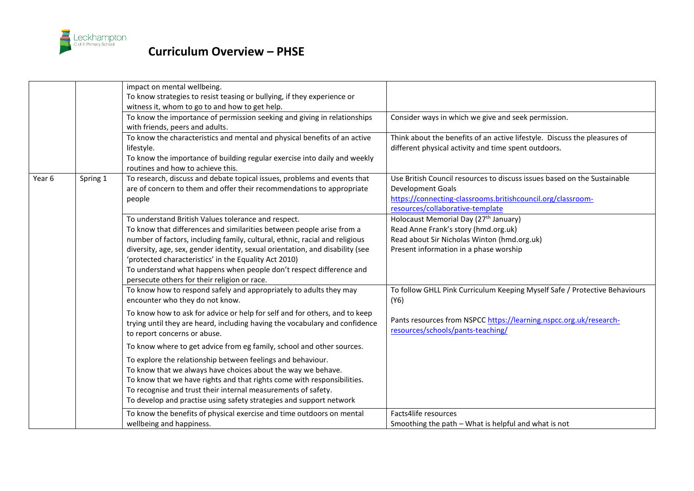

|        |          | impact on mental wellbeing.<br>To know strategies to resist teasing or bullying, if they experience or<br>witness it, whom to go to and how to get help.                                                                                                                                                                                                                                                                                                                     |                                                                                                                                                                                                         |
|--------|----------|------------------------------------------------------------------------------------------------------------------------------------------------------------------------------------------------------------------------------------------------------------------------------------------------------------------------------------------------------------------------------------------------------------------------------------------------------------------------------|---------------------------------------------------------------------------------------------------------------------------------------------------------------------------------------------------------|
|        |          | To know the importance of permission seeking and giving in relationships<br>with friends, peers and adults.                                                                                                                                                                                                                                                                                                                                                                  | Consider ways in which we give and seek permission.                                                                                                                                                     |
|        |          | To know the characteristics and mental and physical benefits of an active<br>lifestyle.<br>To know the importance of building regular exercise into daily and weekly<br>routines and how to achieve this.                                                                                                                                                                                                                                                                    | Think about the benefits of an active lifestyle. Discuss the pleasures of<br>different physical activity and time spent outdoors.                                                                       |
| Year 6 | Spring 1 | To research, discuss and debate topical issues, problems and events that<br>are of concern to them and offer their recommendations to appropriate<br>people                                                                                                                                                                                                                                                                                                                  | Use British Council resources to discuss issues based on the Sustainable<br><b>Development Goals</b><br>https://connecting-classrooms.britishcouncil.org/classroom-<br>resources/collaborative-template |
|        |          | To understand British Values tolerance and respect.<br>To know that differences and similarities between people arise from a<br>number of factors, including family, cultural, ethnic, racial and religious<br>diversity, age, sex, gender identity, sexual orientation, and disability (see<br>'protected characteristics' in the Equality Act 2010)<br>To understand what happens when people don't respect difference and<br>persecute others for their religion or race. | Holocaust Memorial Day (27 <sup>th</sup> January)<br>Read Anne Frank's story (hmd.org.uk)<br>Read about Sir Nicholas Winton (hmd.org.uk)<br>Present information in a phase worship                      |
|        |          | To know how to respond safely and appropriately to adults they may<br>encounter who they do not know.<br>To know how to ask for advice or help for self and for others, and to keep<br>trying until they are heard, including having the vocabulary and confidence<br>to report concerns or abuse.                                                                                                                                                                           | To follow GHLL Pink Curriculum Keeping Myself Safe / Protective Behaviours<br>(Y6)<br>Pants resources from NSPCC https://learning.nspcc.org.uk/research-<br>resources/schools/pants-teaching/           |
|        |          | To know where to get advice from eg family, school and other sources.<br>To explore the relationship between feelings and behaviour.<br>To know that we always have choices about the way we behave.<br>To know that we have rights and that rights come with responsibilities.<br>To recognise and trust their internal measurements of safety.<br>To develop and practise using safety strategies and support network                                                      |                                                                                                                                                                                                         |
|        |          | To know the benefits of physical exercise and time outdoors on mental<br>wellbeing and happiness.                                                                                                                                                                                                                                                                                                                                                                            | Facts4life resources<br>Smoothing the path - What is helpful and what is not                                                                                                                            |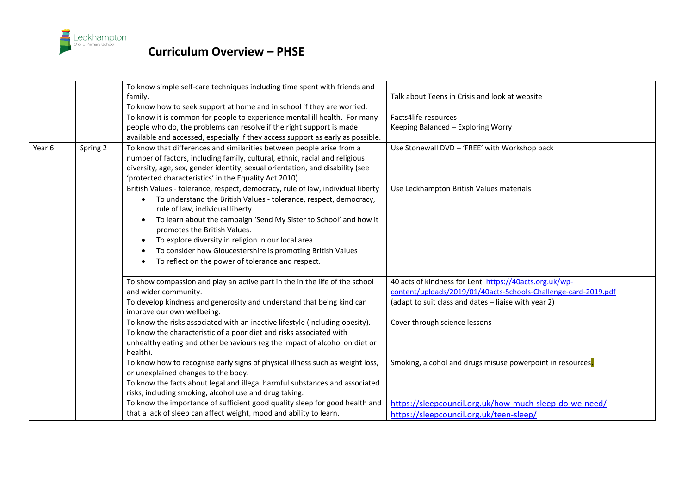

|        |          | To know simple self-care techniques including time spent with friends and       |                                                                |
|--------|----------|---------------------------------------------------------------------------------|----------------------------------------------------------------|
|        |          | family.                                                                         | Talk about Teens in Crisis and look at website                 |
|        |          | To know how to seek support at home and in school if they are worried.          |                                                                |
|        |          | To know it is common for people to experience mental ill health. For many       | Facts4life resources                                           |
|        |          | people who do, the problems can resolve if the right support is made            | Keeping Balanced - Exploring Worry                             |
|        |          | available and accessed, especially if they access support as early as possible. |                                                                |
| Year 6 | Spring 2 | To know that differences and similarities between people arise from a           | Use Stonewall DVD - 'FREE' with Workshop pack                  |
|        |          | number of factors, including family, cultural, ethnic, racial and religious     |                                                                |
|        |          | diversity, age, sex, gender identity, sexual orientation, and disability (see   |                                                                |
|        |          | 'protected characteristics' in the Equality Act 2010)                           |                                                                |
|        |          | British Values - tolerance, respect, democracy, rule of law, individual liberty | Use Leckhampton British Values materials                       |
|        |          | To understand the British Values - tolerance, respect, democracy,               |                                                                |
|        |          | rule of law, individual liberty                                                 |                                                                |
|        |          | To learn about the campaign 'Send My Sister to School' and how it<br>$\bullet$  |                                                                |
|        |          | promotes the British Values.                                                    |                                                                |
|        |          | To explore diversity in religion in our local area.                             |                                                                |
|        |          | To consider how Gloucestershire is promoting British Values                     |                                                                |
|        |          | To reflect on the power of tolerance and respect.                               |                                                                |
|        |          | To show compassion and play an active part in the in the life of the school     | 40 acts of kindness for Lent https://40acts.org.uk/wp-         |
|        |          | and wider community.                                                            | content/uploads/2019/01/40acts-Schools-Challenge-card-2019.pdf |
|        |          | To develop kindness and generosity and understand that being kind can           | (adapt to suit class and dates - liaise with year 2)           |
|        |          | improve our own wellbeing.                                                      |                                                                |
|        |          | To know the risks associated with an inactive lifestyle (including obesity).    | Cover through science lessons                                  |
|        |          | To know the characteristic of a poor diet and risks associated with             |                                                                |
|        |          | unhealthy eating and other behaviours (eg the impact of alcohol on diet or      |                                                                |
|        |          | health).                                                                        |                                                                |
|        |          | To know how to recognise early signs of physical illness such as weight loss,   | Smoking, alcohol and drugs misuse powerpoint in resources.     |
|        |          | or unexplained changes to the body.                                             |                                                                |
|        |          | To know the facts about legal and illegal harmful substances and associated     |                                                                |
|        |          | risks, including smoking, alcohol use and drug taking.                          |                                                                |
|        |          | To know the importance of sufficient good quality sleep for good health and     | https://sleepcouncil.org.uk/how-much-sleep-do-we-need/         |
|        |          | that a lack of sleep can affect weight, mood and ability to learn.              | https://sleepcouncil.org.uk/teen-sleep/                        |